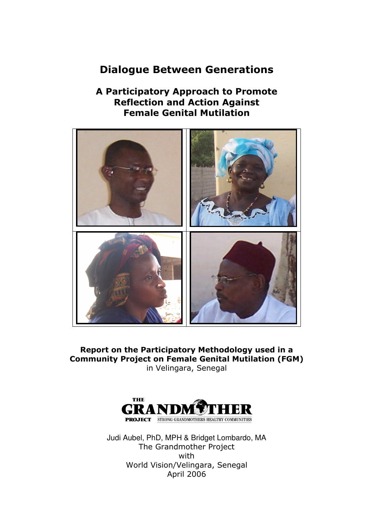# Dialogue Between Generations

# A Participatory Approach to Promote Reflection and Action Against Female Genital Mutilation



Report on the Participatory Methodology used in a Community Project on Female Genital Mutilation (FGM) in Velingara, Senegal



Judi Aubel, PhD, MPH & Bridget Lombardo, MA The Grandmother Project with World Vision/Velingara, Senegal April 2006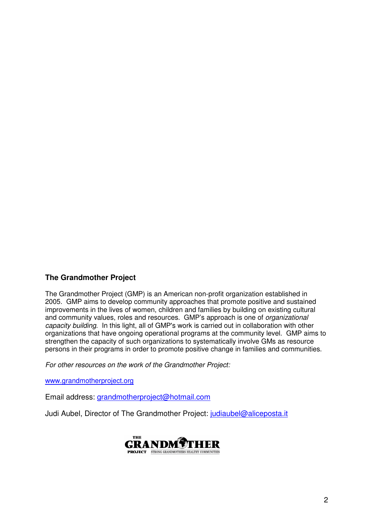### **The Grandmother Project**

The Grandmother Project (GMP) is an American non-profit organization established in 2005. GMP aims to develop community approaches that promote positive and sustained improvements in the lives of women, children and families by building on existing cultural and community values, roles and resources. GMP's approach is one of organizational capacity building. In this light, all of GMP's work is carried out in collaboration with other organizations that have ongoing operational programs at the community level. GMP aims to strengthen the capacity of such organizations to systematically involve GMs as resource persons in their programs in order to promote positive change in families and communities.

For other resources on the work of the Grandmother Project:

www.grandmotherproject.org

Email address: grandmotherproject@hotmail.com

Judi Aubel, Director of The Grandmother Project: judiaubel@aliceposta.it

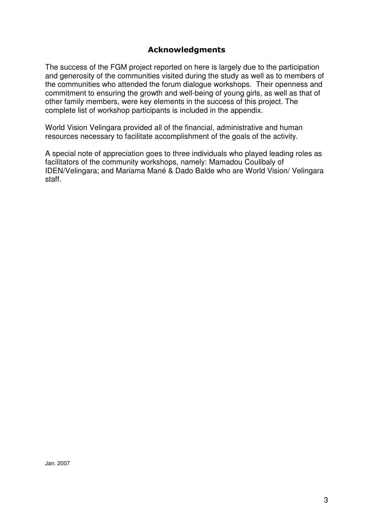### Acknowledgments

The success of the FGM project reported on here is largely due to the participation and generosity of the communities visited during the study as well as to members of the communities who attended the forum dialogue workshops. Their openness and commitment to ensuring the growth and well-being of young girls, as well as that of other family members, were key elements in the success of this project. The complete list of workshop participants is included in the appendix.

World Vision Velingara provided all of the financial, administrative and human resources necessary to facilitate accomplishment of the goals of the activity.

A special note of appreciation goes to three individuals who played leading roles as facilitators of the community workshops, namely: Mamadou Coulibaly of IDEN/Velingara; and Mariama Mané & Dado Balde who are World Vision/ Velingara staff.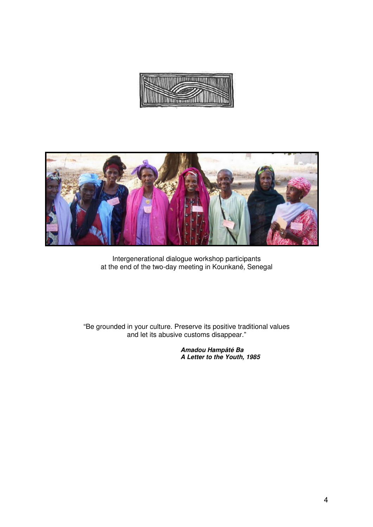



Intergenerational dialogue workshop participants at the end of the two-day meeting in Kounkané, Senegal

"Be grounded in your culture. Preserve its positive traditional values and let its abusive customs disappear."

> **Amadou Hampâté Ba A Letter to the Youth, 1985**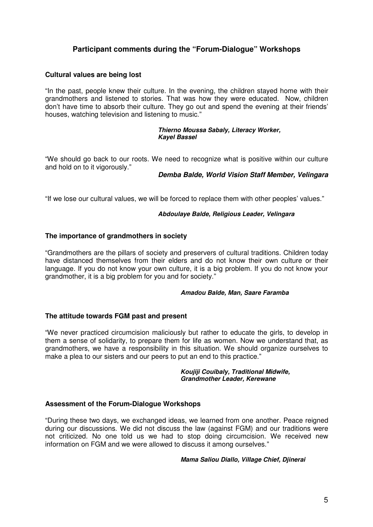### **Participant comments during the "Forum-Dialogue" Workshops**

#### **Cultural values are being lost**

"In the past, people knew their culture. In the evening, the children stayed home with their grandmothers and listened to stories. That was how they were educated. Now, children don't have time to absorb their culture. They go out and spend the evening at their friends' houses, watching television and listening to music."

#### **Thierno Moussa Sabaly, Literacy Worker, Kayel Bassel**

"We should go back to our roots. We need to recognize what is positive within our culture and hold on to it vigorously."

#### **Demba Balde, World Vision Staff Member, Velingara**

"If we lose our cultural values, we will be forced to replace them with other peoples' values."

#### **Abdoulaye Balde, Religious Leader, Velingara**

#### **The importance of grandmothers in society**

"Grandmothers are the pillars of society and preservers of cultural traditions. Children today have distanced themselves from their elders and do not know their own culture or their language. If you do not know your own culture, it is a big problem. If you do not know your grandmother, it is a big problem for you and for society."

#### **Amadou Balde, Man, Saare Faramba**

#### **The attitude towards FGM past and present**

"We never practiced circumcision maliciously but rather to educate the girls, to develop in them a sense of solidarity, to prepare them for life as women. Now we understand that, as grandmothers, we have a responsibility in this situation. We should organize ourselves to make a plea to our sisters and our peers to put an end to this practice."

#### **Koujiji Couibaly, Traditional Midwife, Grandmother Leader, Kerewane**

#### **Assessment of the Forum-Dialogue Workshops**

"During these two days, we exchanged ideas, we learned from one another. Peace reigned during our discussions. We did not discuss the law (against FGM) and our traditions were not criticized. No one told us we had to stop doing circumcision. We received new information on FGM and we were allowed to discuss it among ourselves."

#### **Mama Saliou Diallo, Village Chief, Djinerai**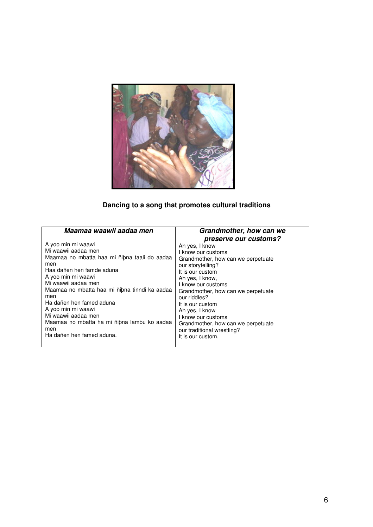

# **Dancing to a song that promotes cultural traditions**

| Maamaa waawii aadaa men                       | Grandmother, how can we<br>preserve our customs? |
|-----------------------------------------------|--------------------------------------------------|
| A yoo min mi waawi                            | Ah yes, I know                                   |
| Mi waawii aadaa men                           | I know our customs                               |
| Maamaa no mbatta haa mi ñibna taali do aadaa  | Grandmother, how can we perpetuate               |
| men                                           | our storytelling?                                |
| Haa dañen hen famde aduna                     | It is our custom                                 |
| A yoo min mi waawi                            | Ah yes, I know,                                  |
| Mi waawii aadaa men                           | I know our customs                               |
| Maamaa no mbatta haa mi ñibna tinndi ka aadaa | Grandmother, how can we perpetuate               |
| men                                           | our riddles?                                     |
| Ha dañen hen famed aduna                      | It is our custom                                 |
| A yoo min mi waawi                            | Ah yes, I know                                   |
| Mi waawii aadaa men                           | I know our customs                               |
| Maamaa no mbatta ha mi ñibna lambu ko aadaa   | Grandmother, how can we perpetuate               |
| men                                           | our traditional wrestling?                       |
| Ha dañen hen famed aduna.                     | It is our custom.                                |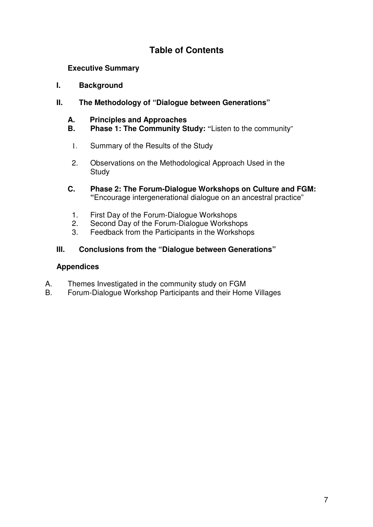# **Table of Contents**

**Executive Summary** 

### **I. Background**

### **II. The Methodology of "Dialogue between Generations"**

# **A. Principles and Approaches**

- **Phase 1: The Community Study: "Listen to the community"**
- 1. Summary of the Results of the Study
- 2. Observations on the Methodological Approach Used in the **Study**
- **C. Phase 2: The Forum-Dialogue Workshops on Culture and FGM: "**Encourage intergenerational dialogue on an ancestral practice"
	- 1. First Day of the Forum-Dialogue Workshops
	- 2. Second Day of the Forum-Dialogue Workshops
	- 3. Feedback from the Participants in the Workshops

# **III. Conclusions from the "Dialogue between Generations"**

### **Appendices**

- A. Themes Investigated in the community study on FGM<br>B. Forum-Dialogue Workshop Participants and their Hom
- B. Forum-Dialogue Workshop Participants and their Home Villages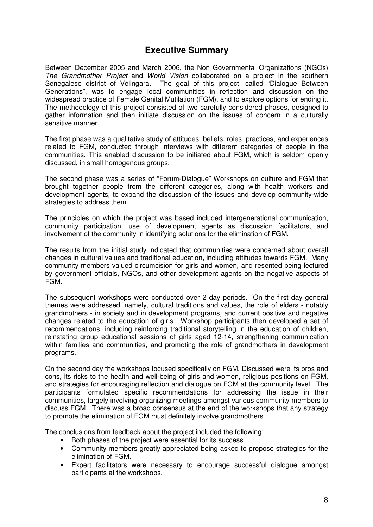### **Executive Summary**

Between December 2005 and March 2006, the Non Governmental Organizations (NGOs) The Grandmother Project and World Vision collaborated on a project in the southern Senegalese district of Velingara. The goal of this project, called "Dialogue Between Generations", was to engage local communities in reflection and discussion on the widespread practice of Female Genital Mutilation (FGM), and to explore options for ending it. The methodology of this project consisted of two carefully considered phases, designed to gather information and then initiate discussion on the issues of concern in a culturally sensitive manner.

The first phase was a qualitative study of attitudes, beliefs, roles, practices, and experiences related to FGM, conducted through interviews with different categories of people in the communities. This enabled discussion to be initiated about FGM, which is seldom openly discussed, in small homogenous groups.

The second phase was a series of "Forum-Dialogue" Workshops on culture and FGM that brought together people from the different categories, along with health workers and development agents, to expand the discussion of the issues and develop community-wide strategies to address them.

The principles on which the project was based included intergenerational communication, community participation, use of development agents as discussion facilitators, and involvement of the community in identifying solutions for the elimination of FGM.

The results from the initial study indicated that communities were concerned about overall changes in cultural values and traditional education, including attitudes towards FGM. Many community members valued circumcision for girls and women, and resented being lectured by government officials, NGOs, and other development agents on the negative aspects of FGM.

The subsequent workshops were conducted over 2 day periods. On the first day general themes were addressed, namely, cultural traditions and values, the role of elders - notably grandmothers - in society and in development programs, and current positive and negative changes related to the education of girls. Workshop participants then developed a set of recommendations, including reinforcing traditional storytelling in the education of children, reinstating group educational sessions of girls aged 12-14, strengthening communication within families and communities, and promoting the role of grandmothers in development programs.

On the second day the workshops focused specifically on FGM. Discussed were its pros and cons, its risks to the health and well-being of girls and women, religious positions on FGM, and strategies for encouraging reflection and dialogue on FGM at the community level. The participants formulated specific recommendations for addressing the issue in their communities, largely involving organizing meetings amongst various community members to discuss FGM. There was a broad consensus at the end of the workshops that any strategy to promote the elimination of FGM must definitely involve grandmothers.

The conclusions from feedback about the project included the following:

- Both phases of the project were essential for its success.
- Community members greatly appreciated being asked to propose strategies for the elimination of FGM.
- Expert facilitators were necessary to encourage successful dialogue amongst participants at the workshops.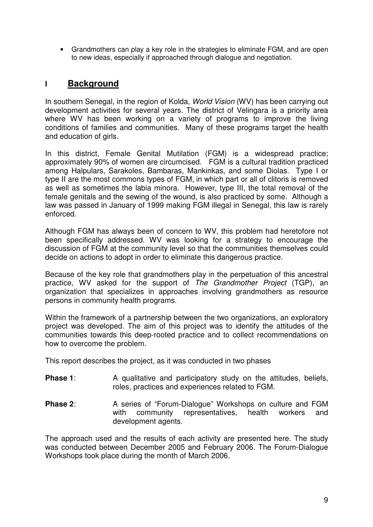• Grandmothers can play a key role in the strategies to eliminate FGM, and are open to new ideas, especially if approached through dialogue and negotiation.

# **I Background**

In southern Senegal, in the region of Kolda, World Vision (WV) has been carrying out development activities for several years. The district of Velingara is a priority area where WV has been working on a variety of programs to improve the living conditions of families and communities. Many of these programs target the health and education of girls.

In this district, Female Genital Mutilation (FGM) is a widespread practice; approximately 90% of women are circumcised. FGM is a cultural tradition practiced among Halpulars, Sarakoles, Bambaras, Mankinkas, and some Diolas. Type I or type II are the most commons types of FGM, in which part or all of clitoris is removed as well as sometimes the labia minora. However, type III, the total removal of the female genitals and the sewing of the wound, is also practiced by some. Although a law was passed in January of 1999 making FGM illegal in Senegal, this law is rarely enforced.

Although FGM has always been of concern to WV, this problem had heretofore not been specifically addressed. WV was looking for a strategy to encourage the discussion of FGM at the community level so that the communities themselves could decide on actions to adopt in order to eliminate this dangerous practice.

Because of the key role that grandmothers play in the perpetuation of this ancestral practice, WV asked for the support of The Grandmother Project (TGP), an organization that specializes in approaches involving grandmothers as resource persons in community health programs.

Within the framework of a partnership between the two organizations, an exploratory project was developed. The aim of this project was to identify the attitudes of the communities towards this deep-rooted practice and to collect recommendations on how to overcome the problem.

This report describes the project, as it was conducted in two phases

- **Phase 1:** A qualitative and participatory study on the attitudes, beliefs, roles, practices and experiences related to FGM.
- **Phase 2:** A series of "Forum-Dialogue" Workshops on culture and FGM with community representatives, health workers and development agents.

The approach used and the results of each activity are presented here. The study was conducted between December 2005 and February 2006. The Forum-Dialogue Workshops took place during the month of March 2006.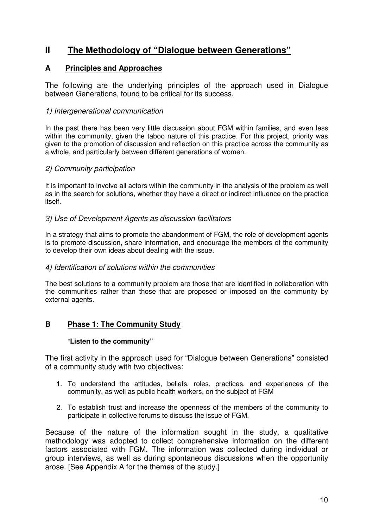# **II The Methodology of "Dialogue between Generations"**

### **A Principles and Approaches**

The following are the underlying principles of the approach used in Dialogue between Generations, found to be critical for its success.

### 1) Intergenerational communication

In the past there has been very little discussion about FGM within families, and even less within the community, given the taboo nature of this practice. For this project, priority was given to the promotion of discussion and reflection on this practice across the community as a whole, and particularly between different generations of women.

### 2) Community participation

It is important to involve all actors within the community in the analysis of the problem as well as in the search for solutions, whether they have a direct or indirect influence on the practice itself.

### 3) Use of Development Agents as discussion facilitators

In a strategy that aims to promote the abandonment of FGM, the role of development agents is to promote discussion, share information, and encourage the members of the community to develop their own ideas about dealing with the issue.

### 4) Identification of solutions within the communities

The best solutions to a community problem are those that are identified in collaboration with the communities rather than those that are proposed or imposed on the community by external agents.

### **B Phase 1: The Community Study**

### "**Listen to the community"**

The first activity in the approach used for "Dialogue between Generations" consisted of a community study with two objectives:

- 1. To understand the attitudes, beliefs, roles, practices, and experiences of the community, as well as public health workers, on the subject of FGM
- 2. To establish trust and increase the openness of the members of the community to participate in collective forums to discuss the issue of FGM.

Because of the nature of the information sought in the study, a qualitative methodology was adopted to collect comprehensive information on the different factors associated with FGM. The information was collected during individual or group interviews, as well as during spontaneous discussions when the opportunity arose. [See Appendix A for the themes of the study.]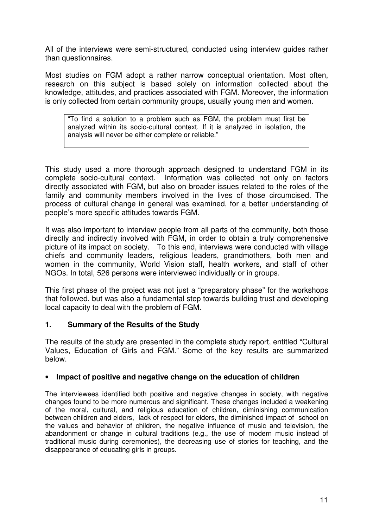All of the interviews were semi-structured, conducted using interview guides rather than questionnaires.

Most studies on FGM adopt a rather narrow conceptual orientation. Most often, research on this subject is based solely on information collected about the knowledge, attitudes, and practices associated with FGM. Moreover, the information is only collected from certain community groups, usually young men and women.

"To find a solution to a problem such as FGM, the problem must first be analyzed within its socio-cultural context. If it is analyzed in isolation, the analysis will never be either complete or reliable."

This study used a more thorough approach designed to understand FGM in its complete socio-cultural context. Information was collected not only on factors directly associated with FGM, but also on broader issues related to the roles of the family and community members involved in the lives of those circumcised. The process of cultural change in general was examined, for a better understanding of people's more specific attitudes towards FGM.

It was also important to interview people from all parts of the community, both those directly and indirectly involved with FGM, in order to obtain a truly comprehensive picture of its impact on society. To this end, interviews were conducted with village chiefs and community leaders, religious leaders, grandmothers, both men and women in the community, World Vision staff, health workers, and staff of other NGOs. In total, 526 persons were interviewed individually or in groups.

This first phase of the project was not just a "preparatory phase" for the workshops that followed, but was also a fundamental step towards building trust and developing local capacity to deal with the problem of FGM.

### **1. Summary of the Results of the Study**

The results of the study are presented in the complete study report, entitled "Cultural Values, Education of Girls and FGM." Some of the key results are summarized below.

### • **Impact of positive and negative change on the education of children**

The interviewees identified both positive and negative changes in society, with negative changes found to be more numerous and significant. These changes included a weakening of the moral, cultural, and religious education of children, diminishing communication between children and elders, lack of respect for elders, the diminished impact of school on the values and behavior of children, the negative influence of music and television, the abandonment or change in cultural traditions (e.g., the use of modern music instead of traditional music during ceremonies), the decreasing use of stories for teaching, and the disappearance of educating girls in groups.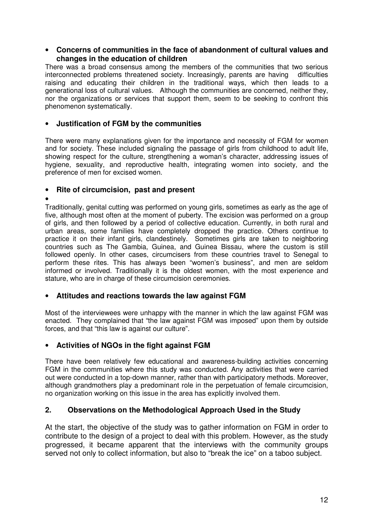#### • **Concerns of communities in the face of abandonment of cultural values and changes in the education of children**

There was a broad consensus among the members of the communities that two serious interconnected problems threatened society. Increasingly, parents are having difficulties raising and educating their children in the traditional ways, which then leads to a generational loss of cultural values. Although the communities are concerned, neither they, nor the organizations or services that support them, seem to be seeking to confront this phenomenon systematically.

### • **Justification of FGM by the communities**

There were many explanations given for the importance and necessity of FGM for women and for society. These included signaling the passage of girls from childhood to adult life, showing respect for the culture, strengthening a woman's character, addressing issues of hygiene, sexuality, and reproductive health, integrating women into society, and the preference of men for excised women.

### • **Rite of circumcision, past and present**

#### •

Traditionally, genital cutting was performed on young girls, sometimes as early as the age of five, although most often at the moment of puberty. The excision was performed on a group of girls, and then followed by a period of collective education. Currently, in both rural and urban areas, some families have completely dropped the practice. Others continue to practice it on their infant girls, clandestinely. Sometimes girls are taken to neighboring countries such as The Gambia, Guinea, and Guinea Bissau, where the custom is still followed openly. In other cases, circumcisers from these countries travel to Senegal to perform these rites. This has always been "women's business", and men are seldom informed or involved. Traditionally it is the oldest women, with the most experience and stature, who are in charge of these circumcision ceremonies.

### • **Attitudes and reactions towards the law against FGM**

Most of the interviewees were unhappy with the manner in which the law against FGM was enacted. They complained that "the law against FGM was imposed" upon them by outside forces, and that "this law is against our culture".

### • **Activities of NGOs in the fight against FGM**

There have been relatively few educational and awareness-building activities concerning FGM in the communities where this study was conducted. Any activities that were carried out were conducted in a top-down manner, rather than with participatory methods. Moreover, although grandmothers play a predominant role in the perpetuation of female circumcision, no organization working on this issue in the area has explicitly involved them.

### **2. Observations on the Methodological Approach Used in the Study**

At the start, the objective of the study was to gather information on FGM in order to contribute to the design of a project to deal with this problem. However, as the study progressed, it became apparent that the interviews with the community groups served not only to collect information, but also to "break the ice" on a taboo subject.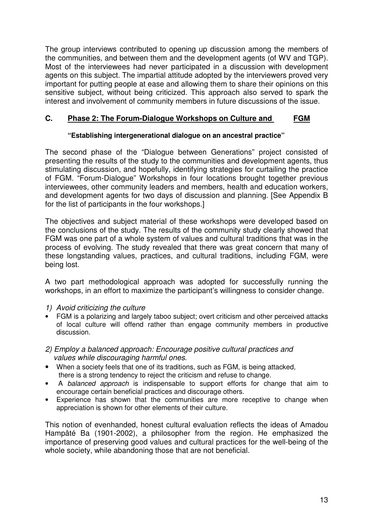The group interviews contributed to opening up discussion among the members of the communities, and between them and the development agents (of WV and TGP). Most of the interviewees had never participated in a discussion with development agents on this subject. The impartial attitude adopted by the interviewers proved very important for putting people at ease and allowing them to share their opinions on this sensitive subject, without being criticized. This approach also served to spark the interest and involvement of community members in future discussions of the issue.

### **C. Phase 2: The Forum-Dialogue Workshops on Culture and FGM**

### **"Establishing intergenerational dialogue on an ancestral practice"**

The second phase of the "Dialogue between Generations" project consisted of presenting the results of the study to the communities and development agents, thus stimulating discussion, and hopefully, identifying strategies for curtailing the practice of FGM. "Forum-Dialogue" Workshops in four locations brought together previous interviewees, other community leaders and members, health and education workers, and development agents for two days of discussion and planning. [See Appendix B for the list of participants in the four workshops.]

The objectives and subject material of these workshops were developed based on the conclusions of the study. The results of the community study clearly showed that FGM was one part of a whole system of values and cultural traditions that was in the process of evolving. The study revealed that there was great concern that many of these longstanding values, practices, and cultural traditions, including FGM, were being lost.

A two part methodological approach was adopted for successfully running the workshops, in an effort to maximize the participant's willingness to consider change.

### 1) Avoid criticizing the culture

- FGM is a polarizing and largely taboo subject; overt criticism and other perceived attacks of local culture will offend rather than engage community members in productive discussion.
- 2) Employ a balanced approach: Encourage positive cultural practices and values while discouraging harmful ones.
- When a society feels that one of its traditions, such as FGM, is being attacked, there is a strong tendency to reject the criticism and refuse to change.
- A balanced approach is indispensable to support efforts for change that aim to encourage certain beneficial practices and discourage others.
- Experience has shown that the communities are more receptive to change when appreciation is shown for other elements of their culture.

This notion of evenhanded, honest cultural evaluation reflects the ideas of Amadou Hampâté Ba (1901-2002), a philosopher from the region. He emphasized the importance of preserving good values and cultural practices for the well-being of the whole society, while abandoning those that are not beneficial.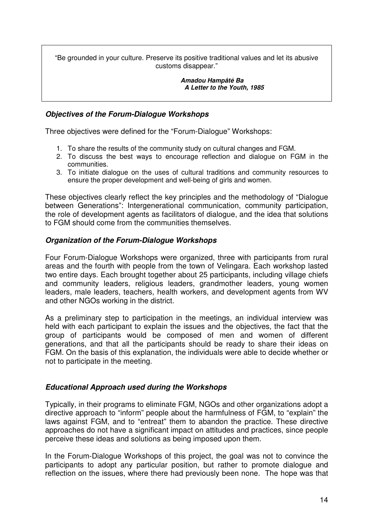"Be grounded in your culture. Preserve its positive traditional values and let its abusive customs disappear."

> **Amadou Hampâté Ba A Letter to the Youth, 1985**

### **Objectives of the Forum-Dialogue Workshops**

Three objectives were defined for the "Forum-Dialogue" Workshops:

- 1. To share the results of the community study on cultural changes and FGM.
- 2. To discuss the best ways to encourage reflection and dialogue on FGM in the communities.
- 3. To initiate dialogue on the uses of cultural traditions and community resources to ensure the proper development and well-being of girls and women.

These objectives clearly reflect the key principles and the methodology of "Dialogue between Generations": Intergenerational communication, community participation, the role of development agents as facilitators of dialogue, and the idea that solutions to FGM should come from the communities themselves.

### **Organization of the Forum-Dialogue Workshops**

Four Forum-Dialogue Workshops were organized, three with participants from rural areas and the fourth with people from the town of Velingara. Each workshop lasted two entire days. Each brought together about 25 participants, including village chiefs and community leaders, religious leaders, grandmother leaders, young women leaders, male leaders, teachers, health workers, and development agents from WV and other NGOs working in the district.

As a preliminary step to participation in the meetings, an individual interview was held with each participant to explain the issues and the objectives, the fact that the group of participants would be composed of men and women of different generations, and that all the participants should be ready to share their ideas on FGM. On the basis of this explanation, the individuals were able to decide whether or not to participate in the meeting.

### **Educational Approach used during the Workshops**

Typically, in their programs to eliminate FGM, NGOs and other organizations adopt a directive approach to "inform" people about the harmfulness of FGM, to "explain" the laws against FGM, and to "entreat" them to abandon the practice. These directive approaches do not have a significant impact on attitudes and practices, since people perceive these ideas and solutions as being imposed upon them.

In the Forum-Dialogue Workshops of this project, the goal was not to convince the participants to adopt any particular position, but rather to promote dialogue and reflection on the issues, where there had previously been none. The hope was that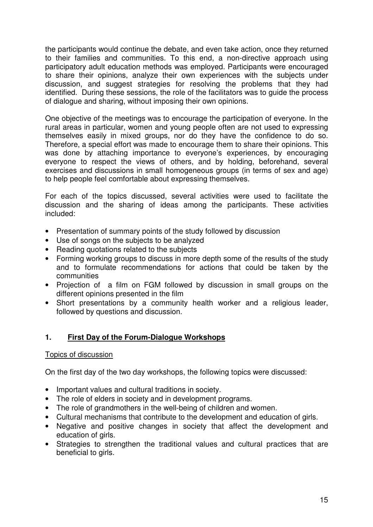the participants would continue the debate, and even take action, once they returned to their families and communities. To this end, a non-directive approach using participatory adult education methods was employed. Participants were encouraged to share their opinions, analyze their own experiences with the subjects under discussion, and suggest strategies for resolving the problems that they had identified. During these sessions, the role of the facilitators was to guide the process of dialogue and sharing, without imposing their own opinions.

One objective of the meetings was to encourage the participation of everyone. In the rural areas in particular, women and young people often are not used to expressing themselves easily in mixed groups, nor do they have the confidence to do so. Therefore, a special effort was made to encourage them to share their opinions. This was done by attaching importance to everyone's experiences, by encouraging everyone to respect the views of others, and by holding, beforehand, several exercises and discussions in small homogeneous groups (in terms of sex and age) to help people feel comfortable about expressing themselves.

For each of the topics discussed, several activities were used to facilitate the discussion and the sharing of ideas among the participants. These activities included:

- Presentation of summary points of the study followed by discussion
- Use of songs on the subjects to be analyzed
- Reading quotations related to the subjects
- Forming working groups to discuss in more depth some of the results of the study and to formulate recommendations for actions that could be taken by the communities
- Projection of a film on FGM followed by discussion in small groups on the different opinions presented in the film
- Short presentations by a community health worker and a religious leader, followed by questions and discussion.

### **1. First Day of the Forum-Dialogue Workshops**

### Topics of discussion

On the first day of the two day workshops, the following topics were discussed:

- Important values and cultural traditions in society.
- The role of elders in society and in development programs.
- The role of grandmothers in the well-being of children and women.
- Cultural mechanisms that contribute to the development and education of girls.
- Negative and positive changes in society that affect the development and education of girls.
- Strategies to strengthen the traditional values and cultural practices that are beneficial to girls.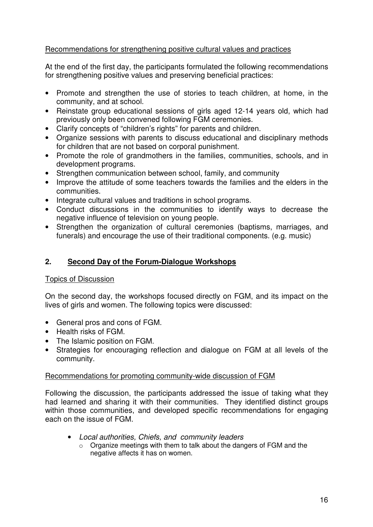### Recommendations for strengthening positive cultural values and practices

At the end of the first day, the participants formulated the following recommendations for strengthening positive values and preserving beneficial practices:

- Promote and strengthen the use of stories to teach children, at home, in the community, and at school.
- Reinstate group educational sessions of girls aged 12-14 years old, which had previously only been convened following FGM ceremonies.
- Clarify concepts of "children's rights" for parents and children.
- Organize sessions with parents to discuss educational and disciplinary methods for children that are not based on corporal punishment.
- Promote the role of grandmothers in the families, communities, schools, and in development programs.
- Strengthen communication between school, family, and community
- Improve the attitude of some teachers towards the families and the elders in the communities.
- Integrate cultural values and traditions in school programs.
- Conduct discussions in the communities to identify ways to decrease the negative influence of television on young people.
- Strengthen the organization of cultural ceremonies (baptisms, marriages, and funerals) and encourage the use of their traditional components. (e.g. music)

### **2. Second Day of the Forum-Dialogue Workshops**

### Topics of Discussion

On the second day, the workshops focused directly on FGM, and its impact on the lives of girls and women. The following topics were discussed:

- General pros and cons of FGM.
- Health risks of FGM.
- The Islamic position on FGM.
- Strategies for encouraging reflection and dialogue on FGM at all levels of the community.

### Recommendations for promoting community-wide discussion of FGM

Following the discussion, the participants addressed the issue of taking what they had learned and sharing it with their communities. They identified distinct groups within those communities, and developed specific recommendations for engaging each on the issue of FGM.

- Local authorities, Chiefs, and community leaders
	- o Organize meetings with them to talk about the dangers of FGM and the negative affects it has on women.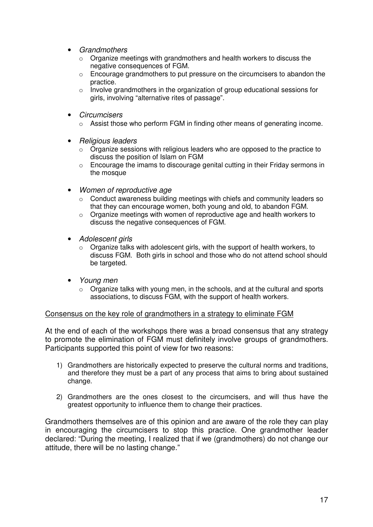- Grandmothers
	- o Organize meetings with grandmothers and health workers to discuss the negative consequences of FGM.
	- $\circ$  Encourage grandmothers to put pressure on the circumcisers to abandon the practice.
	- o Involve grandmothers in the organization of group educational sessions for girls, involving "alternative rites of passage".
- Circumcisers
	- $\circ$  Assist those who perform FGM in finding other means of generating income.
- Religious leaders
	- $\circ$  Organize sessions with religious leaders who are opposed to the practice to discuss the position of Islam on FGM
	- $\circ$  Encourage the imams to discourage genital cutting in their Friday sermons in the mosque
- Women of reproductive age
	- $\circ$  Conduct awareness building meetings with chiefs and community leaders so that they can encourage women, both young and old, to abandon FGM.
	- o Organize meetings with women of reproductive age and health workers to discuss the negative consequences of FGM.
- Adolescent girls
	- $\circ$  Organize talks with adolescent girls, with the support of health workers, to discuss FGM. Both girls in school and those who do not attend school should be targeted.
- Young men
	- o Organize talks with young men, in the schools, and at the cultural and sports associations, to discuss FGM, with the support of health workers.

#### Consensus on the key role of grandmothers in a strategy to eliminate FGM

At the end of each of the workshops there was a broad consensus that any strategy to promote the elimination of FGM must definitely involve groups of grandmothers. Participants supported this point of view for two reasons:

- 1) Grandmothers are historically expected to preserve the cultural norms and traditions, and therefore they must be a part of any process that aims to bring about sustained change.
- 2) Grandmothers are the ones closest to the circumcisers, and will thus have the greatest opportunity to influence them to change their practices.

Grandmothers themselves are of this opinion and are aware of the role they can play in encouraging the circumcisers to stop this practice. One grandmother leader declared: "During the meeting, I realized that if we (grandmothers) do not change our attitude, there will be no lasting change."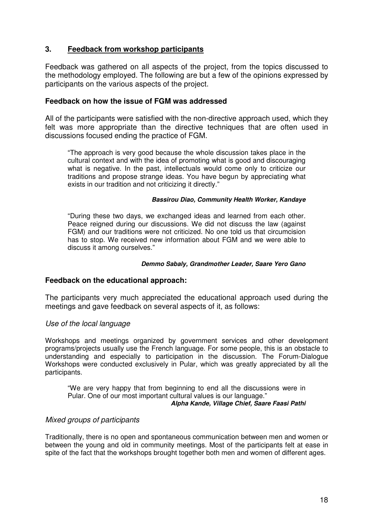### **3. Feedback from workshop participants**

Feedback was gathered on all aspects of the project, from the topics discussed to the methodology employed. The following are but a few of the opinions expressed by participants on the various aspects of the project.

#### **Feedback on how the issue of FGM was addressed**

All of the participants were satisfied with the non-directive approach used, which they felt was more appropriate than the directive techniques that are often used in discussions focused ending the practice of FGM.

"The approach is very good because the whole discussion takes place in the cultural context and with the idea of promoting what is good and discouraging what is negative. In the past, intellectuals would come only to criticize our traditions and propose strange ideas. You have begun by appreciating what exists in our tradition and not criticizing it directly."

#### **Bassirou Diao, Community Health Worker, Kandaye**

"During these two days, we exchanged ideas and learned from each other. Peace reigned during our discussions. We did not discuss the law (against FGM) and our traditions were not criticized. No one told us that circumcision has to stop. We received new information about FGM and we were able to discuss it among ourselves."

#### **Demmo Sabaly, Grandmother Leader, Saare Yero Gano**

#### **Feedback on the educational approach:**

The participants very much appreciated the educational approach used during the meetings and gave feedback on several aspects of it, as follows:

#### Use of the local language

Workshops and meetings organized by government services and other development programs/projects usually use the French language. For some people, this is an obstacle to understanding and especially to participation in the discussion. The Forum-Dialogue Workshops were conducted exclusively in Pular, which was greatly appreciated by all the participants.

"We are very happy that from beginning to end all the discussions were in Pular. One of our most important cultural values is our language." **Alpha Kande, Village Chief, Saare Faasi Pathi** 

#### Mixed groups of participants

Traditionally, there is no open and spontaneous communication between men and women or between the young and old in community meetings. Most of the participants felt at ease in spite of the fact that the workshops brought together both men and women of different ages.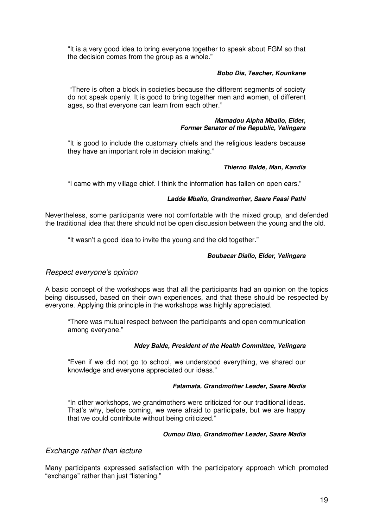"It is a very good idea to bring everyone together to speak about FGM so that the decision comes from the group as a whole."

#### **Bobo Dia, Teacher, Kounkane**

 "There is often a block in societies because the different segments of society do not speak openly. It is good to bring together men and women, of different ages, so that everyone can learn from each other."

#### **Mamadou Alpha Mballo, Elder, Former Senator of the Republic, Velingara**

"It is good to include the customary chiefs and the religious leaders because they have an important role in decision making."

#### **Thierno Balde, Man, Kandia**

"I came with my village chief. I think the information has fallen on open ears."

#### **Ladde Mballo, Grandmother, Saare Faasi Pathi**

Nevertheless, some participants were not comfortable with the mixed group, and defended the traditional idea that there should not be open discussion between the young and the old.

"It wasn't a good idea to invite the young and the old together."

#### **Boubacar Diallo, Elder, Velingara**

#### Respect everyone's opinion

A basic concept of the workshops was that all the participants had an opinion on the topics being discussed, based on their own experiences, and that these should be respected by everyone. Applying this principle in the workshops was highly appreciated.

"There was mutual respect between the participants and open communication among everyone."

#### **Ndey Balde, President of the Health Committee, Velingara**

"Even if we did not go to school, we understood everything, we shared our knowledge and everyone appreciated our ideas."

#### **Fatamata, Grandmother Leader, Saare Madia**

"In other workshops, we grandmothers were criticized for our traditional ideas. That's why, before coming, we were afraid to participate, but we are happy that we could contribute without being criticized."

#### **Oumou Diao, Grandmother Leader, Saare Madia**

#### Exchange rather than lecture

Many participants expressed satisfaction with the participatory approach which promoted "exchange" rather than just "listening."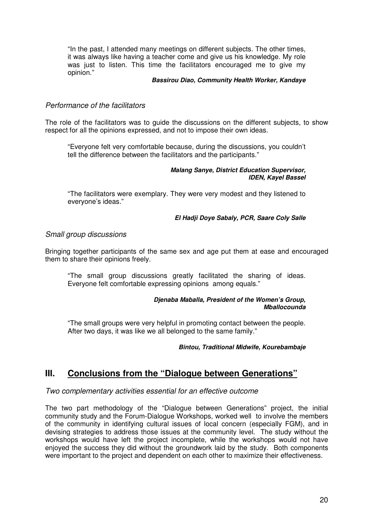"In the past, I attended many meetings on different subjects. The other times, it was always like having a teacher come and give us his knowledge. My role was just to listen. This time the facilitators encouraged me to give my opinion."

#### **Bassirou Diao, Community Health Worker, Kandaye**

#### Performance of the facilitators

The role of the facilitators was to guide the discussions on the different subjects, to show respect for all the opinions expressed, and not to impose their own ideas.

"Everyone felt very comfortable because, during the discussions, you couldn't tell the difference between the facilitators and the participants."

#### **Malang Sanye, District Education Supervisor, IDEN, Kayel Bassel**

"The facilitators were exemplary. They were very modest and they listened to everyone's ideas."

#### **El Hadji Doye Sabaly, PCR, Saare Coly Salle**

#### Small group discussions

Bringing together participants of the same sex and age put them at ease and encouraged them to share their opinions freely.

"The small group discussions greatly facilitated the sharing of ideas. Everyone felt comfortable expressing opinions among equals."

#### **Djenaba Maballa, President of the Women's Group, Mballocounda**

"The small groups were very helpful in promoting contact between the people. After two days, it was like we all belonged to the same family."

#### **Bintou, Traditional Midwife, Kourebambaje**

### **III. Conclusions from the "Dialogue between Generations"**

#### Two complementary activities essential for an effective outcome

The two part methodology of the "Dialogue between Generations" project, the initial community study and the Forum-Dialogue Workshops, worked well to involve the members of the community in identifying cultural issues of local concern (especially FGM), and in devising strategies to address those issues at the community level. The study without the workshops would have left the project incomplete, while the workshops would not have enjoyed the success they did without the groundwork laid by the study. Both components were important to the project and dependent on each other to maximize their effectiveness.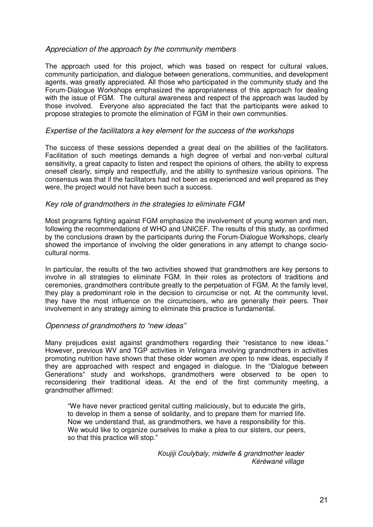#### Appreciation of the approach by the community members

The approach used for this project, which was based on respect for cultural values, community participation, and dialogue between generations, communities, and development agents, was greatly appreciated. All those who participated in the community study and the Forum-Dialogue Workshops emphasized the appropriateness of this approach for dealing with the issue of FGM. The cultural awareness and respect of the approach was lauded by those involved. Everyone also appreciated the fact that the participants were asked to propose strategies to promote the elimination of FGM in their own communities.

#### Expertise of the facilitators a key element for the success of the workshops

The success of these sessions depended a great deal on the abilities of the facilitators. Facilitation of such meetings demands a high degree of verbal and non-verbal cultural sensitivity, a great capacity to listen and respect the opinions of others, the ability to express oneself clearly, simply and respectfully, and the ability to synthesize various opinions. The consensus was that if the facilitators had not been as experienced and well prepared as they were, the project would not have been such a success.

#### Key role of grandmothers in the strategies to eliminate FGM

Most programs fighting against FGM emphasize the involvement of young women and men, following the recommendations of WHO and UNICEF. The results of this study, as confirmed by the conclusions drawn by the participants during the Forum-Dialogue Workshops, clearly showed the importance of involving the older generations in any attempt to change sociocultural norms.

In particular, the results of the two activities showed that grandmothers are key persons to involve in all strategies to eliminate FGM. In their roles as protectors of traditions and ceremonies, grandmothers contribute greatly to the perpetuation of FGM. At the family level, they play a predominant role in the decision to circumcise or not. At the community level, they have the most influence on the circumcisers, who are generally their peers. Their involvement in any strategy aiming to eliminate this practice is fundamental.

### Openness of grandmothers to "new ideas"

Many prejudices exist against grandmothers regarding their "resistance to new ideas." However, previous WV and TGP activities in Velingara involving grandmothers in activities promoting nutrition have shown that these older women are open to new ideas, especially if they are approached with respect and engaged in dialogue. In the "Dialogue between Generations" study and workshops, grandmothers were observed to be open to reconsidering their traditional ideas. At the end of the first community meeting, a grandmother affirmed:

"We have never practiced genital cutting maliciously, but to educate the girls, to develop in them a sense of solidarity, and to prepare them for married life. Now we understand that, as grandmothers, we have a responsibility for this. We would like to organize ourselves to make a plea to our sisters, our peers, so that this practice will stop."

> Koujiji Coulybaly, midwife & grandmother leader Kéréwané village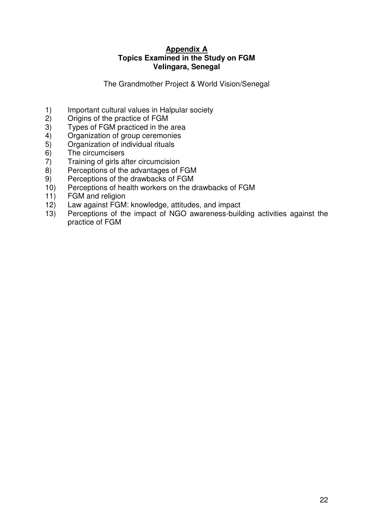### **Appendix A Topics Examined in the Study on FGM Velingara, Senegal**

The Grandmother Project & World Vision/Senegal

- 1) Important cultural values in Halpular society
- 2) Origins of the practice of FGM
- 3) Types of FGM practiced in the area
- 4) Organization of group ceremonies<br>5) Organization of individual rituals
- 5) Organization of individual rituals
- 6) The circumcisers<br>
7) Training of girls a
- 7) Training of girls after circumcision
- 8) Perceptions of the advantages of FGM
- 9) Perceptions of the drawbacks of FGM
- 10) Perceptions of health workers on the drawbacks of FGM
- 11) FGM and religion<br>12) Law against FGM
- Law against FGM: knowledge, attitudes, and impact
- 13) Perceptions of the impact of NGO awareness-building activities against the practice of FGM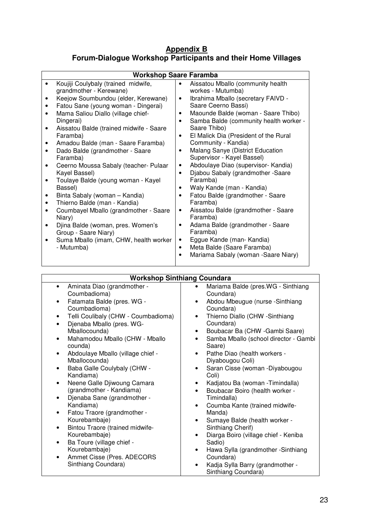### **Appendix B Forum-Dialogue Workshop Participants and their Home Villages**

| <b>Workshop Saare Faramba</b>                                                                                                                                                                                                                                                                                                                                                                                                                                                                                                                                                                                                                                                                                                             |                                                                                                                                                                                                                                                                                                                                                                                                                                                                                                                                                                                                                                                                                                                                                                                                                       |  |
|-------------------------------------------------------------------------------------------------------------------------------------------------------------------------------------------------------------------------------------------------------------------------------------------------------------------------------------------------------------------------------------------------------------------------------------------------------------------------------------------------------------------------------------------------------------------------------------------------------------------------------------------------------------------------------------------------------------------------------------------|-----------------------------------------------------------------------------------------------------------------------------------------------------------------------------------------------------------------------------------------------------------------------------------------------------------------------------------------------------------------------------------------------------------------------------------------------------------------------------------------------------------------------------------------------------------------------------------------------------------------------------------------------------------------------------------------------------------------------------------------------------------------------------------------------------------------------|--|
| Koujiji Coulybaly (trained midwife,<br>grandmother - Kerewane)<br>Keejow Soumbundou (elder, Kerewane)<br>Fatou Sane (young woman - Dingerai)<br>٠<br>Mama Saliou Diallo (village chief-<br>٠<br>Dingerai)<br>Aissatou Balde (trained midwife - Saare<br>٠<br>Faramba)<br>Amadou Balde (man - Saare Faramba)<br>Dado Balde (grandmother - Saare<br>٠<br>Faramba)<br>Ceerno Moussa Sabaly (teacher- Pulaar<br>$\bullet$<br>Kayel Bassel)<br>Toulaye Balde (young woman - Kayel<br>Bassel)<br>Binta Sabaly (woman - Kandia)<br>Thierno Balde (man - Kandia)<br>٠<br>Coumbayel Mballo (grandmother - Saare<br>Niary)<br>Djina Balde (woman, pres. Women's<br>Group - Saare Niary)<br>Suma Mballo (imam, CHW, health worker<br>٠<br>- Mutumba) | Aissatou Mballo (community health<br>workes - Mutumba)<br>Ibrahima Mballo (secretary FAIVD -<br>$\bullet$<br>Saare Ceerno Bassi)<br>Maounde Balde (woman - Saare Thibo)<br>Samba Balde (community health worker -<br>$\bullet$<br>Saare Thibo)<br>El Malick Dia (President of the Rural<br>$\bullet$<br>Community - Kandia)<br>Malang Sanye (District Education<br>٠<br>Supervisor - Kayel Bassel)<br>Abdoulaye Diao (supervisor- Kandia)<br>Djabou Sabaly (grandmother -Saare<br>$\bullet$<br>Faramba)<br>Waly Kande (man - Kandia)<br>Fatou Balde (grandmother - Saare<br>Faramba)<br>Aissatou Balde (grandmother - Saare<br>٠<br>Faramba)<br>Adama Balde (grandmother - Saare<br>٠<br>Faramba)<br>Eggue Kande (man- Kandia)<br>٠<br>Meta Balde (Saare Faramba)<br>$\bullet$<br>Mariama Sabaly (woman -Saare Niary) |  |

| <b>Workshop Sinthiang Coundara</b> |  |
|------------------------------------|--|

| Aminata Diao (grandmother -<br>$\bullet$         | Mariama Balde (pres.WG - Sinthiang<br>$\bullet$    |
|--------------------------------------------------|----------------------------------------------------|
| Coumbadioma)                                     | Coundara)                                          |
| Fatamata Balde (pres. WG -<br>$\bullet$          | Abdou Mbeugue (nurse -Sinthiang<br>$\bullet$       |
| Coumbadioma)                                     | Coundara)                                          |
| Telli Coulibaly (CHW - Coumbadioma)<br>$\bullet$ | Thierno Diallo (CHW -Sinthiang<br>$\bullet$        |
| Djenaba Mballo (pres. WG-<br>$\bullet$           | Coundara)                                          |
| Mballocounda)                                    | Boubacar Ba (CHW - Gambi Saare)<br>$\bullet$       |
| Mahamodou Mballo (CHW - Mballo<br>$\bullet$      | Samba Mballo (school director - Gambi<br>$\bullet$ |
| counda)                                          | Saare)                                             |
| Abdoulaye Mballo (village chief -<br>$\bullet$   | Pathe Diao (health workers -<br>$\bullet$          |
| Mballocounda)                                    | Diyabougou Coli)                                   |
| Baba Galle Coulybaly (CHW -<br>٠                 | Saran Cisse (woman -Diyabougou                     |
| Kandiama)                                        | Coli)                                              |
| Neene Galle Djiwoung Camara<br>$\bullet$         | Kadjatou Ba (woman - Timindalla)<br>$\bullet$      |
| (grandmother - Kandiama)                         | Boubacar Boiro (health worker -<br>$\bullet$       |
| Djenaba Sane (grandmother -<br>$\bullet$         | Timindalla)                                        |
| Kandiama)                                        | Coumba Kante (trained midwife-<br>$\bullet$        |
| Fatou Traore (grandmother -<br>$\bullet$         | Manda)                                             |
| Kourebambaje)                                    | Sumaye Balde (health worker -<br>$\bullet$         |
| Bintou Traore (trained midwife-<br>$\bullet$     | Sinthiang Cherif)                                  |
| Kourebambaje)                                    | Diarga Boiro (village chief - Keniba<br>٠          |
| Ba Toure (village chief -<br>٠                   | Sadio)                                             |
| Kourebambaje)                                    | Hawa Sylla (grandmother -Sinthiang<br>$\bullet$    |
| Ammet Cisse (Pres. ADECORS<br>٠                  | Coundara)                                          |
| Sinthiang Coundara)                              | Kadja Sylla Barry (grandmother -                   |
|                                                  | Sinthiang Coundara)                                |